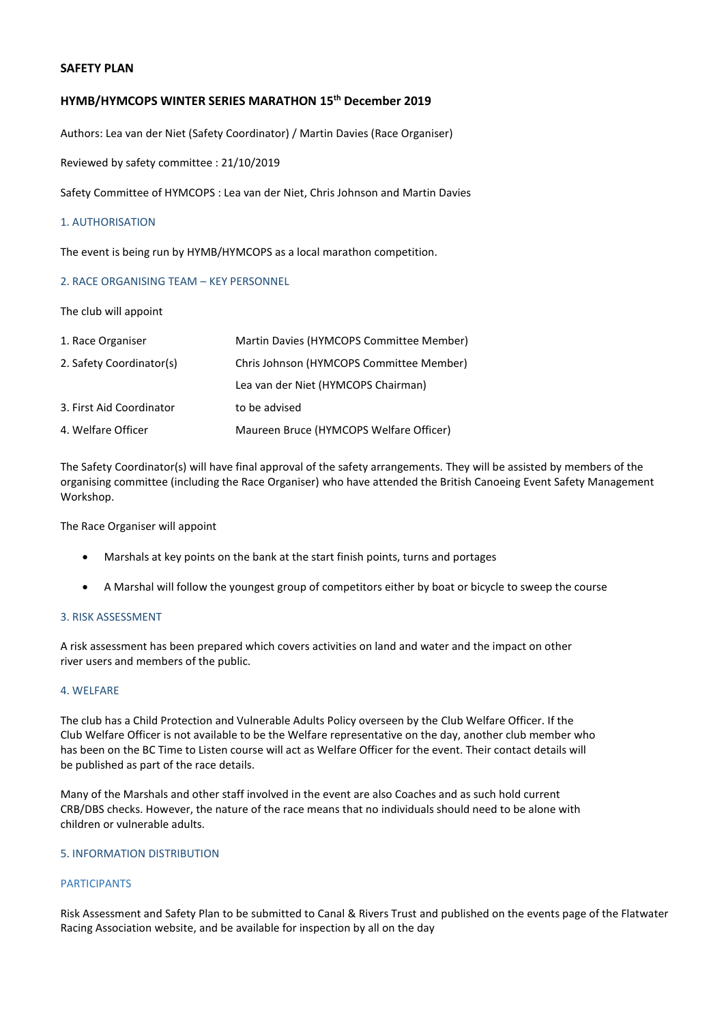# **SAFETY PLAN**

# **HYMB/HYMCOPS WINTER SERIES MARATHON 15th December 2019**

Authors: Lea van der Niet (Safety Coordinator) / Martin Davies (Race Organiser)

Reviewed by safety committee : 21/10/2019

Safety Committee of HYMCOPS : Lea van der Niet, Chris Johnson and Martin Davies

## 1. AUTHORISATION

The event is being run by HYMB/HYMCOPS as a local marathon competition.

## 2. RACE ORGANISING TEAM – KEY PERSONNEL

The club will appoint

| 1. Race Organiser        | Martin Davies (HYMCOPS Committee Member) |
|--------------------------|------------------------------------------|
| 2. Safety Coordinator(s) | Chris Johnson (HYMCOPS Committee Member) |
|                          | Lea van der Niet (HYMCOPS Chairman)      |
| 3. First Aid Coordinator | to be advised                            |
| 4. Welfare Officer       | Maureen Bruce (HYMCOPS Welfare Officer)  |

The Safety Coordinator(s) will have final approval of the safety arrangements. They will be assisted by members of the organising committee (including the Race Organiser) who have attended the British Canoeing Event Safety Management Workshop.

The Race Organiser will appoint

- Marshals at key points on the bank at the start finish points, turns and portages
- A Marshal will follow the youngest group of competitors either by boat or bicycle to sweep the course

# 3. RISK ASSESSMENT

A risk assessment has been prepared which covers activities on land and water and the impact on other river users and members of the public.

#### 4. WELFARE

The club has a Child Protection and Vulnerable Adults Policy overseen by the Club Welfare Officer. If the Club Welfare Officer is not available to be the Welfare representative on the day, another club member who has been on the BC Time to Listen course will act as Welfare Officer for the event. Their contact details will be published as part of the race details.

Many of the Marshals and other staff involved in the event are also Coaches and as such hold current CRB/DBS checks. However, the nature of the race means that no individuals should need to be alone with children or vulnerable adults.

## 5. INFORMATION DISTRIBUTION

# PARTICIPANTS

Risk Assessment and Safety Plan to be submitted to Canal & Rivers Trust and published on the events page of the Flatwater Racing Association website, and be available for inspection by all on the day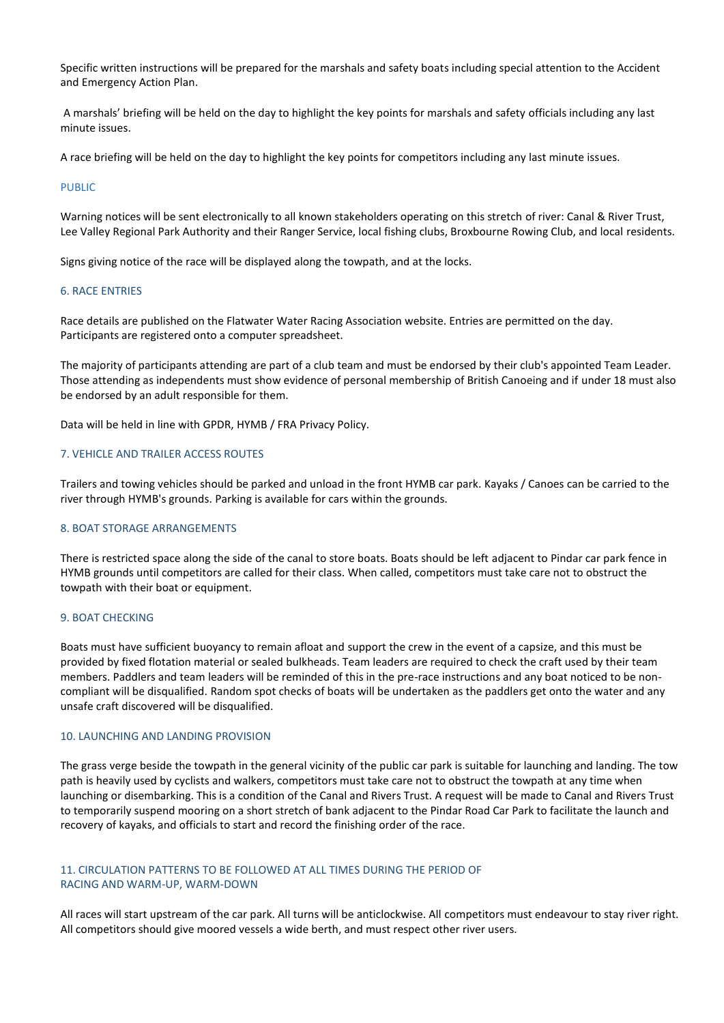Specific written instructions will be prepared for the marshals and safety boats including special attention to the Accident and Emergency Action Plan.

A marshals' briefing will be held on the day to highlight the key points for marshals and safety officials including any last minute issues.

A race briefing will be held on the day to highlight the key points for competitors including any last minute issues.

#### PUBLIC

Warning notices will be sent electronically to all known stakeholders operating on this stretch of river: Canal & River Trust, Lee Valley Regional Park Authority and their Ranger Service, local fishing clubs, Broxbourne Rowing Club, and local residents.

Signs giving notice of the race will be displayed along the towpath, and at the locks.

# 6. RACE ENTRIES

Race details are published on the Flatwater Water Racing Association website. Entries are permitted on the day. Participants are registered onto a computer spreadsheet.

The majority of participants attending are part of a club team and must be endorsed by their club's appointed Team Leader. Those attending as independents must show evidence of personal membership of British Canoeing and if under 18 must also be endorsed by an adult responsible for them.

Data will be held in line with GPDR, HYMB / FRA Privacy Policy.

#### 7. VEHICLE AND TRAILER ACCESS ROUTES

Trailers and towing vehicles should be parked and unload in the front HYMB car park. Kayaks / Canoes can be carried to the river through HYMB's grounds. Parking is available for cars within the grounds.

#### 8. BOAT STORAGE ARRANGEMENTS

There is restricted space along the side of the canal to store boats. Boats should be left adjacent to Pindar car park fence in HYMB grounds until competitors are called for their class. When called, competitors must take care not to obstruct the towpath with their boat or equipment.

# 9. BOAT CHECKING

Boats must have sufficient buoyancy to remain afloat and support the crew in the event of a capsize, and this must be provided by fixed flotation material or sealed bulkheads. Team leaders are required to check the craft used by their team members. Paddlers and team leaders will be reminded of this in the pre-race instructions and any boat noticed to be noncompliant will be disqualified. Random spot checks of boats will be undertaken as the paddlers get onto the water and any unsafe craft discovered will be disqualified.

#### 10. LAUNCHING AND LANDING PROVISION

The grass verge beside the towpath in the general vicinity of the public car park is suitable for launching and landing. The tow path is heavily used by cyclists and walkers, competitors must take care not to obstruct the towpath at any time when launching or disembarking. This is a condition of the Canal and Rivers Trust. A request will be made to Canal and Rivers Trust to temporarily suspend mooring on a short stretch of bank adjacent to the Pindar Road Car Park to facilitate the launch and recovery of kayaks, and officials to start and record the finishing order of the race.

# 11. CIRCULATION PATTERNS TO BE FOLLOWED AT ALL TIMES DURING THE PERIOD OF RACING AND WARM-UP, WARM-DOWN

All races will start upstream of the car park. All turns will be anticlockwise. All competitors must endeavour to stay river right. All competitors should give moored vessels a wide berth, and must respect other river users.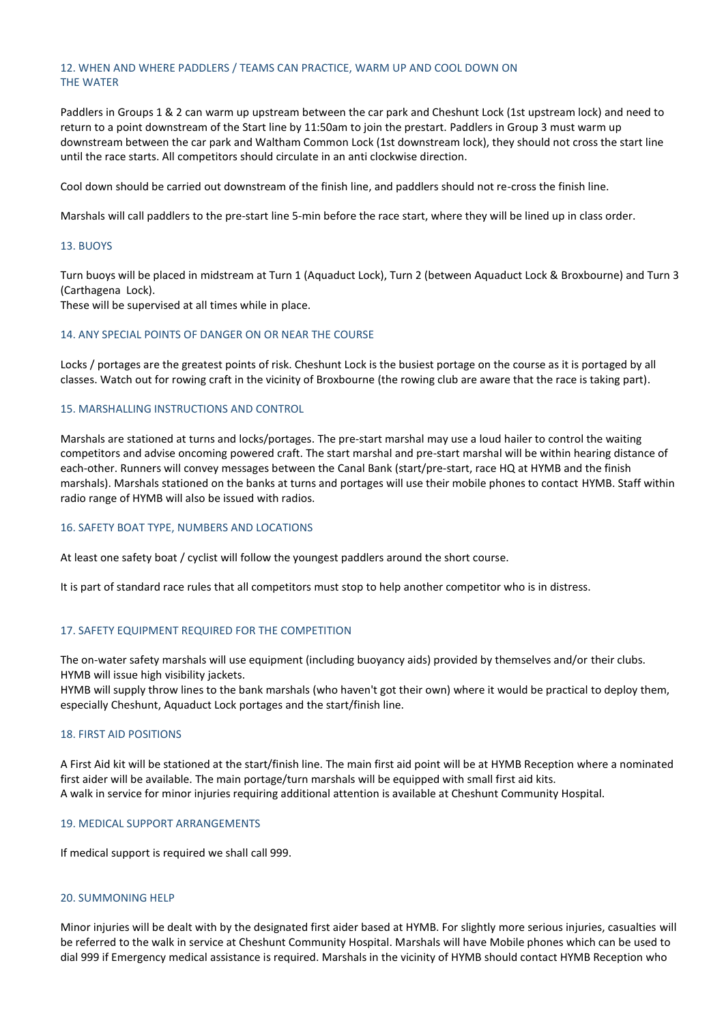# 12. WHEN AND WHERE PADDLERS / TEAMS CAN PRACTICE, WARM UP AND COOL DOWN ON THE WATER

Paddlers in Groups 1 & 2 can warm up upstream between the car park and Cheshunt Lock (1st upstream lock) and need to return to a point downstream of the Start line by 11:50am to join the prestart. Paddlers in Group 3 must warm up downstream between the car park and Waltham Common Lock (1st downstream lock), they should not cross the start line until the race starts. All competitors should circulate in an anti clockwise direction.

Cool down should be carried out downstream of the finish line, and paddlers should not re-cross the finish line.

Marshals will call paddlers to the pre-start line 5-min before the race start, where they will be lined up in class order.

## 13. BUOYS

Turn buoys will be placed in midstream at Turn 1 (Aquaduct Lock), Turn 2 (between Aquaduct Lock & Broxbourne) and Turn 3 (Carthagena Lock).

These will be supervised at all times while in place.

## 14. ANY SPECIAL POINTS OF DANGER ON OR NEAR THE COURSE

Locks / portages are the greatest points of risk. Cheshunt Lock is the busiest portage on the course as it is portaged by all classes. Watch out for rowing craft in the vicinity of Broxbourne (the rowing club are aware that the race is taking part).

## 15. MARSHALLING INSTRUCTIONS AND CONTROL

Marshals are stationed at turns and locks/portages. The pre-start marshal may use a loud hailer to control the waiting competitors and advise oncoming powered craft. The start marshal and pre-start marshal will be within hearing distance of each-other. Runners will convey messages between the Canal Bank (start/pre-start, race HQ at HYMB and the finish marshals). Marshals stationed on the banks at turns and portages will use their mobile phones to contact HYMB. Staff within radio range of HYMB will also be issued with radios.

#### 16. SAFETY BOAT TYPE, NUMBERS AND LOCATIONS

At least one safety boat / cyclist will follow the youngest paddlers around the short course.

It is part of standard race rules that all competitors must stop to help another competitor who is in distress.

## 17. SAFETY EQUIPMENT REQUIRED FOR THE COMPETITION

The on-water safety marshals will use equipment (including buoyancy aids) provided by themselves and/or their clubs. HYMB will issue high visibility jackets.

HYMB will supply throw lines to the bank marshals (who haven't got their own) where it would be practical to deploy them, especially Cheshunt, Aquaduct Lock portages and the start/finish line.

#### 18. FIRST AID POSITIONS

A First Aid kit will be stationed at the start/finish line. The main first aid point will be at HYMB Reception where a nominated first aider will be available. The main portage/turn marshals will be equipped with small first aid kits. A walk in service for minor injuries requiring additional attention is available at Cheshunt Community Hospital.

## 19. MEDICAL SUPPORT ARRANGEMENTS

If medical support is required we shall call 999.

#### 20. SUMMONING HELP

Minor injuries will be dealt with by the designated first aider based at HYMB. For slightly more serious injuries, casualties will be referred to the walk in service at Cheshunt Community Hospital. Marshals will have Mobile phones which can be used to dial 999 if Emergency medical assistance is required. Marshals in the vicinity of HYMB should contact HYMB Reception who